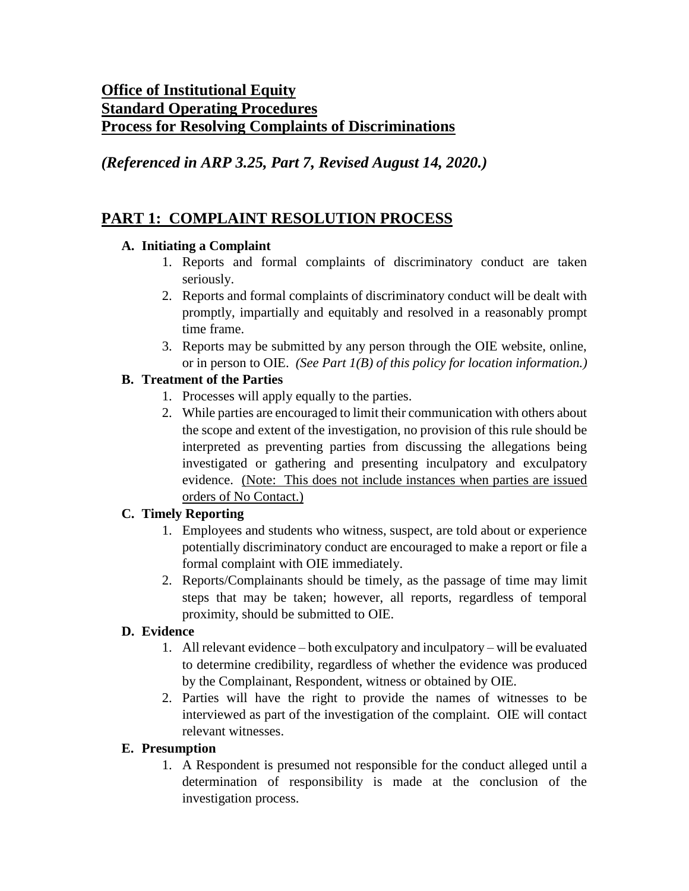## **Office of Institutional Equity Standard Operating Procedures Process for Resolving Complaints of Discriminations**

*(Referenced in ARP 3.25, Part 7, Revised August 14, 2020.)*

# **PART 1: COMPLAINT RESOLUTION PROCESS**

## **A. Initiating a Complaint**

- 1. Reports and formal complaints of discriminatory conduct are taken seriously.
- 2. Reports and formal complaints of discriminatory conduct will be dealt with promptly, impartially and equitably and resolved in a reasonably prompt time frame.
- 3. Reports may be submitted by any person through the OIE website, online, or in person to OIE. *(See Part 1(B) of this policy for location information.)*

## **B. Treatment of the Parties**

- 1. Processes will apply equally to the parties.
- 2. While parties are encouraged to limit their communication with others about the scope and extent of the investigation, no provision of this rule should be interpreted as preventing parties from discussing the allegations being investigated or gathering and presenting inculpatory and exculpatory evidence. (Note: This does not include instances when parties are issued orders of No Contact.)

### **C. Timely Reporting**

- 1. Employees and students who witness, suspect, are told about or experience potentially discriminatory conduct are encouraged to make a report or file a formal complaint with OIE immediately.
- 2. Reports/Complainants should be timely, as the passage of time may limit steps that may be taken; however, all reports, regardless of temporal proximity, should be submitted to OIE.

## **D. Evidence**

- 1. All relevant evidence both exculpatory and inculpatory will be evaluated to determine credibility, regardless of whether the evidence was produced by the Complainant, Respondent, witness or obtained by OIE.
- 2. Parties will have the right to provide the names of witnesses to be interviewed as part of the investigation of the complaint. OIE will contact relevant witnesses.

## **E. Presumption**

1. A Respondent is presumed not responsible for the conduct alleged until a determination of responsibility is made at the conclusion of the investigation process.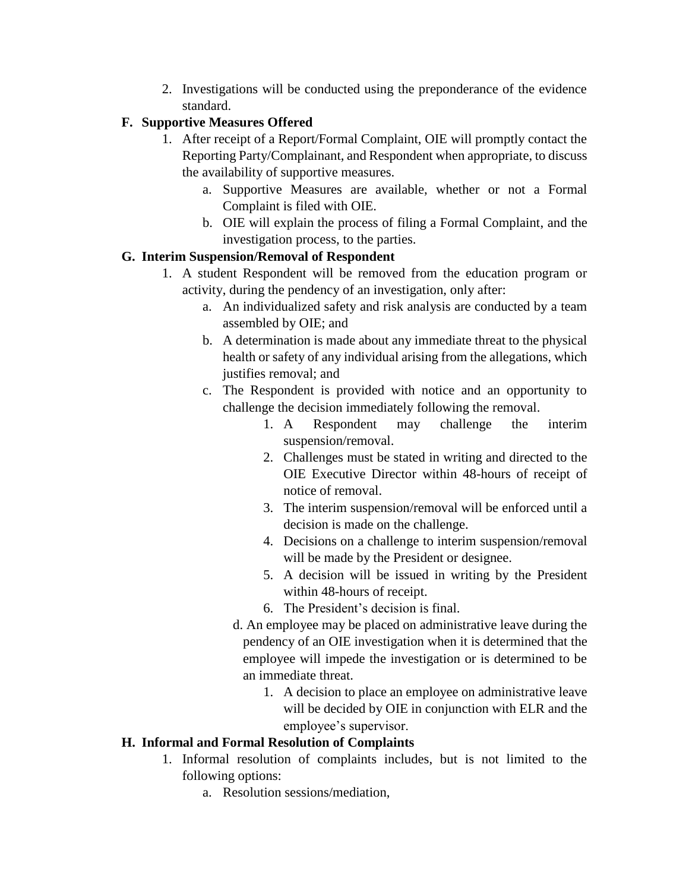2. Investigations will be conducted using the preponderance of the evidence standard.

### **F. Supportive Measures Offered**

- 1. After receipt of a Report/Formal Complaint, OIE will promptly contact the Reporting Party/Complainant, and Respondent when appropriate, to discuss the availability of supportive measures.
	- a. Supportive Measures are available, whether or not a Formal Complaint is filed with OIE.
	- b. OIE will explain the process of filing a Formal Complaint, and the investigation process, to the parties.

## **G. Interim Suspension/Removal of Respondent**

- 1. A student Respondent will be removed from the education program or activity, during the pendency of an investigation, only after:
	- a. An individualized safety and risk analysis are conducted by a team assembled by OIE; and
	- b. A determination is made about any immediate threat to the physical health or safety of any individual arising from the allegations, which justifies removal; and
	- c. The Respondent is provided with notice and an opportunity to challenge the decision immediately following the removal.
		- 1. A Respondent may challenge the interim suspension/removal.
		- 2. Challenges must be stated in writing and directed to the OIE Executive Director within 48-hours of receipt of notice of removal.
		- 3. The interim suspension/removal will be enforced until a decision is made on the challenge.
		- 4. Decisions on a challenge to interim suspension/removal will be made by the President or designee.
		- 5. A decision will be issued in writing by the President within 48-hours of receipt.
		- 6. The President's decision is final.
		- d. An employee may be placed on administrative leave during the pendency of an OIE investigation when it is determined that the employee will impede the investigation or is determined to be an immediate threat.
			- 1. A decision to place an employee on administrative leave will be decided by OIE in conjunction with ELR and the employee's supervisor.

## **H. Informal and Formal Resolution of Complaints**

- 1. Informal resolution of complaints includes, but is not limited to the following options:
	- a. Resolution sessions/mediation,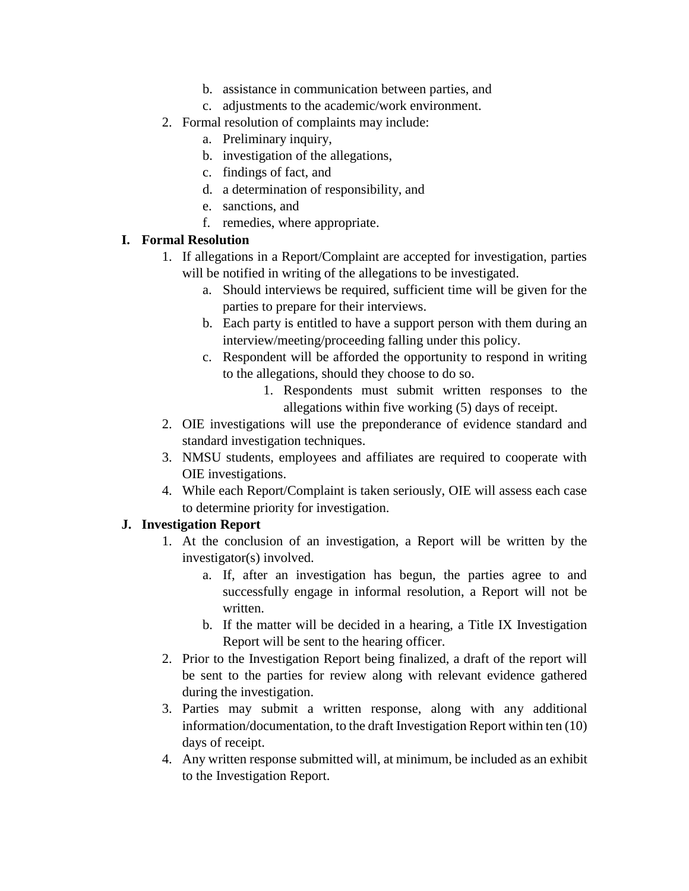- b. assistance in communication between parties, and
- c. adjustments to the academic/work environment.
- 2. Formal resolution of complaints may include:
	- a. Preliminary inquiry,
	- b. investigation of the allegations,
	- c. findings of fact, and
	- d. a determination of responsibility, and
	- e. sanctions, and
	- f. remedies, where appropriate.

#### **I. Formal Resolution**

- 1. If allegations in a Report/Complaint are accepted for investigation, parties will be notified in writing of the allegations to be investigated.
	- a. Should interviews be required, sufficient time will be given for the parties to prepare for their interviews.
	- b. Each party is entitled to have a support person with them during an interview/meeting/proceeding falling under this policy.
	- c. Respondent will be afforded the opportunity to respond in writing to the allegations, should they choose to do so.
		- 1. Respondents must submit written responses to the allegations within five working (5) days of receipt.
- 2. OIE investigations will use the preponderance of evidence standard and standard investigation techniques.
- 3. NMSU students, employees and affiliates are required to cooperate with OIE investigations.
- 4. While each Report/Complaint is taken seriously, OIE will assess each case to determine priority for investigation.

#### **J. Investigation Report**

- 1. At the conclusion of an investigation, a Report will be written by the investigator(s) involved.
	- a. If, after an investigation has begun, the parties agree to and successfully engage in informal resolution, a Report will not be written.
	- b. If the matter will be decided in a hearing, a Title IX Investigation Report will be sent to the hearing officer.
- 2. Prior to the Investigation Report being finalized, a draft of the report will be sent to the parties for review along with relevant evidence gathered during the investigation.
- 3. Parties may submit a written response, along with any additional information/documentation, to the draft Investigation Report within ten (10) days of receipt.
- 4. Any written response submitted will, at minimum, be included as an exhibit to the Investigation Report.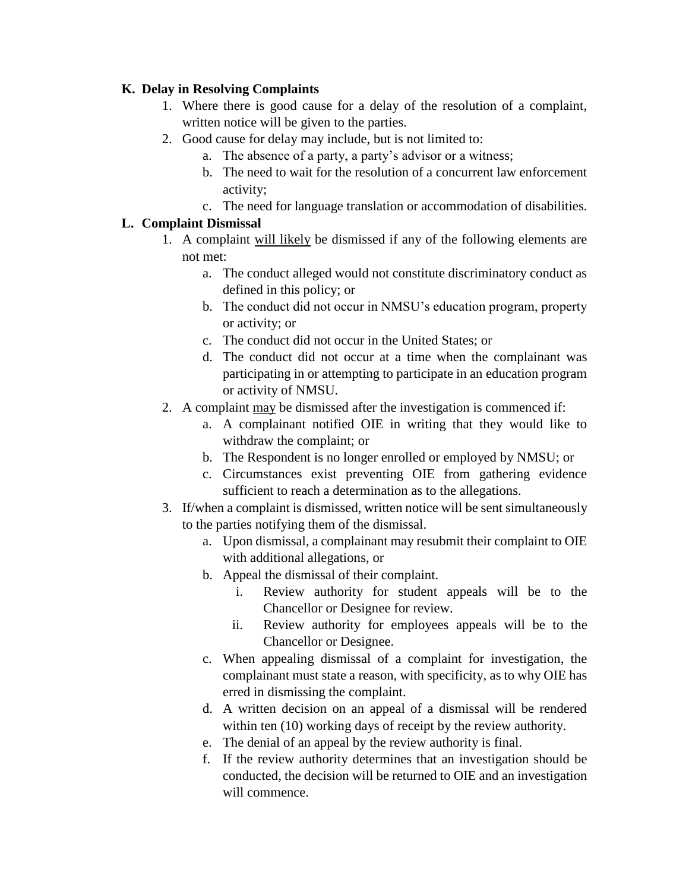#### **K. Delay in Resolving Complaints**

- 1. Where there is good cause for a delay of the resolution of a complaint, written notice will be given to the parties.
- 2. Good cause for delay may include, but is not limited to:
	- a. The absence of a party, a party's advisor or a witness;
	- b. The need to wait for the resolution of a concurrent law enforcement activity;
	- c. The need for language translation or accommodation of disabilities.

### **L. Complaint Dismissal**

- 1. A complaint will likely be dismissed if any of the following elements are not met:
	- a. The conduct alleged would not constitute discriminatory conduct as defined in this policy; or
	- b. The conduct did not occur in NMSU's education program, property or activity; or
	- c. The conduct did not occur in the United States; or
	- d. The conduct did not occur at a time when the complainant was participating in or attempting to participate in an education program or activity of NMSU.
- 2. A complaint may be dismissed after the investigation is commenced if:
	- a. A complainant notified OIE in writing that they would like to withdraw the complaint; or
	- b. The Respondent is no longer enrolled or employed by NMSU; or
	- c. Circumstances exist preventing OIE from gathering evidence sufficient to reach a determination as to the allegations.
- 3. If/when a complaint is dismissed, written notice will be sent simultaneously to the parties notifying them of the dismissal.
	- a. Upon dismissal, a complainant may resubmit their complaint to OIE with additional allegations, or
	- b. Appeal the dismissal of their complaint.
		- i. Review authority for student appeals will be to the Chancellor or Designee for review.
		- ii. Review authority for employees appeals will be to the Chancellor or Designee.
	- c. When appealing dismissal of a complaint for investigation, the complainant must state a reason, with specificity, as to why OIE has erred in dismissing the complaint.
	- d. A written decision on an appeal of a dismissal will be rendered within ten (10) working days of receipt by the review authority.
	- e. The denial of an appeal by the review authority is final.
	- f. If the review authority determines that an investigation should be conducted, the decision will be returned to OIE and an investigation will commence.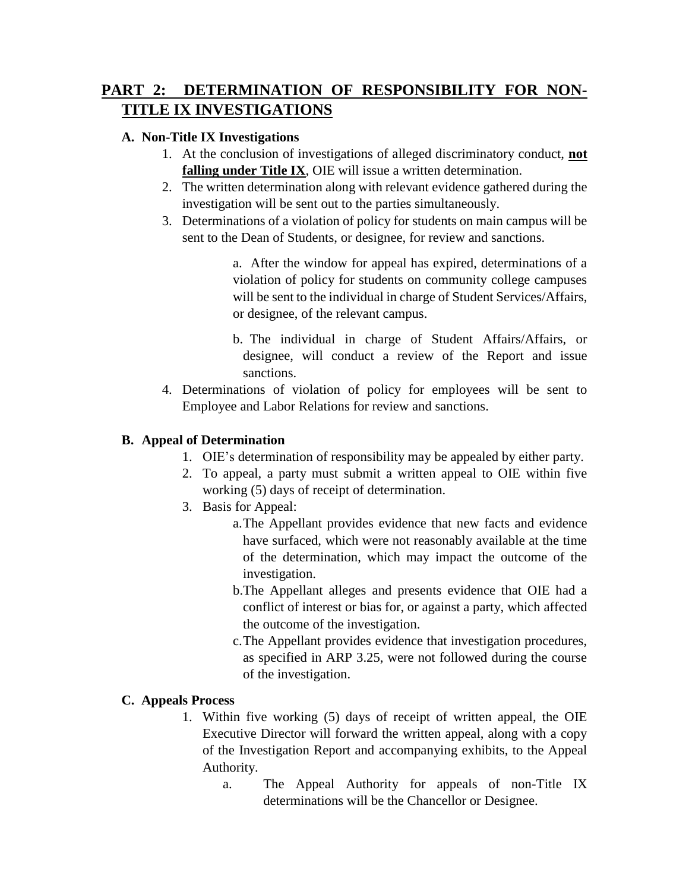# **PART 2: DETERMINATION OF RESPONSIBILITY FOR NON-TITLE IX INVESTIGATIONS**

#### **A. Non-Title IX Investigations**

- 1. At the conclusion of investigations of alleged discriminatory conduct, **not falling under Title IX**, OIE will issue a written determination.
- 2. The written determination along with relevant evidence gathered during the investigation will be sent out to the parties simultaneously.
- 3. Determinations of a violation of policy for students on main campus will be sent to the Dean of Students, or designee, for review and sanctions.

a. After the window for appeal has expired, determinations of a violation of policy for students on community college campuses will be sent to the individual in charge of Student Services/Affairs, or designee, of the relevant campus.

- b. The individual in charge of Student Affairs/Affairs, or designee, will conduct a review of the Report and issue sanctions.
- 4. Determinations of violation of policy for employees will be sent to Employee and Labor Relations for review and sanctions.

#### **B. Appeal of Determination**

- 1. OIE's determination of responsibility may be appealed by either party.
- 2. To appeal, a party must submit a written appeal to OIE within five working (5) days of receipt of determination.
- 3. Basis for Appeal:
	- a.The Appellant provides evidence that new facts and evidence have surfaced, which were not reasonably available at the time of the determination, which may impact the outcome of the investigation.
	- b.The Appellant alleges and presents evidence that OIE had a conflict of interest or bias for, or against a party, which affected the outcome of the investigation.
	- c.The Appellant provides evidence that investigation procedures, as specified in ARP 3.25, were not followed during the course of the investigation.

### **C. Appeals Process**

- 1. Within five working (5) days of receipt of written appeal, the OIE Executive Director will forward the written appeal, along with a copy of the Investigation Report and accompanying exhibits, to the Appeal Authority.
	- a. The Appeal Authority for appeals of non-Title IX determinations will be the Chancellor or Designee.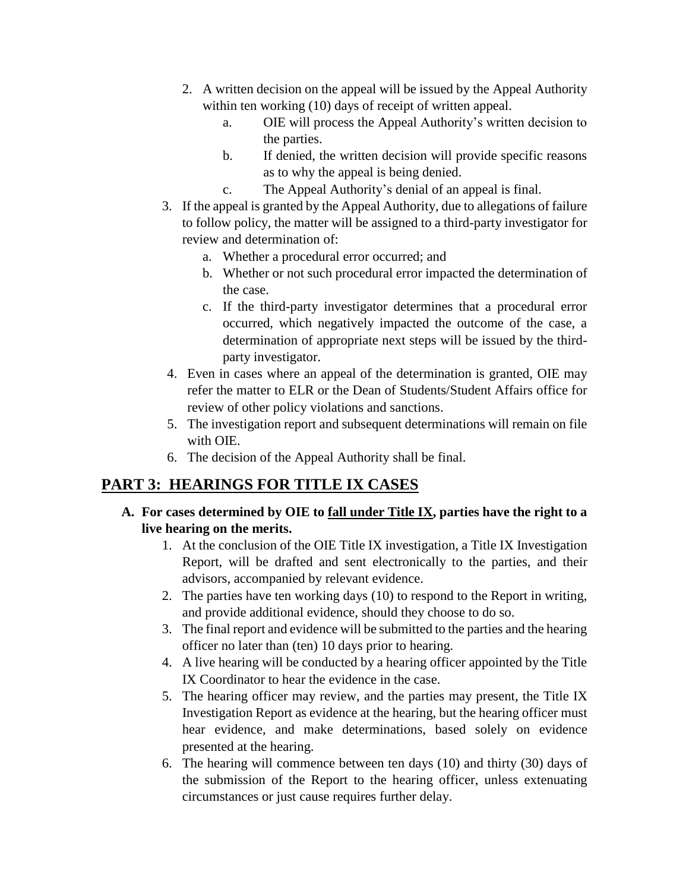- 2. A written decision on the appeal will be issued by the Appeal Authority within ten working (10) days of receipt of written appeal.
	- a. OIE will process the Appeal Authority's written decision to the parties.
	- b. If denied, the written decision will provide specific reasons as to why the appeal is being denied.
	- c. The Appeal Authority's denial of an appeal is final.
- 3. If the appeal is granted by the Appeal Authority, due to allegations of failure to follow policy, the matter will be assigned to a third-party investigator for review and determination of:
	- a. Whether a procedural error occurred; and
	- b. Whether or not such procedural error impacted the determination of the case.
	- c. If the third-party investigator determines that a procedural error occurred, which negatively impacted the outcome of the case, a determination of appropriate next steps will be issued by the thirdparty investigator.
- 4. Even in cases where an appeal of the determination is granted, OIE may refer the matter to ELR or the Dean of Students/Student Affairs office for review of other policy violations and sanctions.
- 5. The investigation report and subsequent determinations will remain on file with OIE.
- 6. The decision of the Appeal Authority shall be final.

# **PART 3: HEARINGS FOR TITLE IX CASES**

- **A. For cases determined by OIE to fall under Title IX, parties have the right to a live hearing on the merits.**
	- 1. At the conclusion of the OIE Title IX investigation, a Title IX Investigation Report, will be drafted and sent electronically to the parties, and their advisors, accompanied by relevant evidence.
	- 2. The parties have ten working days (10) to respond to the Report in writing, and provide additional evidence, should they choose to do so.
	- 3. The final report and evidence will be submitted to the parties and the hearing officer no later than (ten) 10 days prior to hearing.
	- 4. A live hearing will be conducted by a hearing officer appointed by the Title IX Coordinator to hear the evidence in the case.
	- 5. The hearing officer may review, and the parties may present, the Title IX Investigation Report as evidence at the hearing, but the hearing officer must hear evidence, and make determinations, based solely on evidence presented at the hearing.
	- 6. The hearing will commence between ten days (10) and thirty (30) days of the submission of the Report to the hearing officer, unless extenuating circumstances or just cause requires further delay.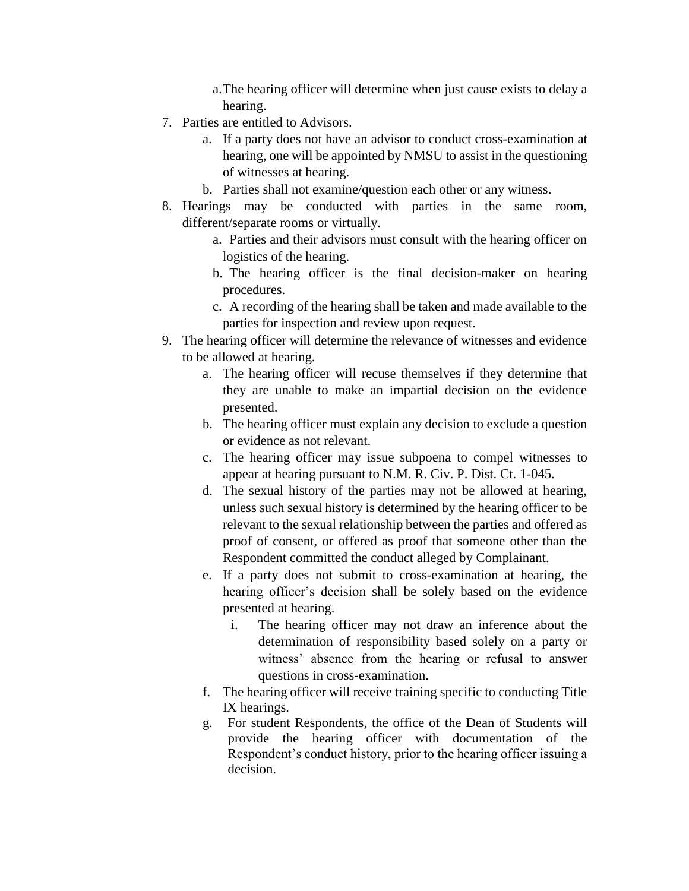- a.The hearing officer will determine when just cause exists to delay a hearing.
- 7. Parties are entitled to Advisors.
	- a. If a party does not have an advisor to conduct cross-examination at hearing, one will be appointed by NMSU to assist in the questioning of witnesses at hearing.
	- b. Parties shall not examine/question each other or any witness.
- 8. Hearings may be conducted with parties in the same room, different/separate rooms or virtually.
	- a. Parties and their advisors must consult with the hearing officer on logistics of the hearing.
	- b. The hearing officer is the final decision-maker on hearing procedures.
	- c. A recording of the hearing shall be taken and made available to the parties for inspection and review upon request.
- 9. The hearing officer will determine the relevance of witnesses and evidence to be allowed at hearing.
	- a. The hearing officer will recuse themselves if they determine that they are unable to make an impartial decision on the evidence presented.
	- b. The hearing officer must explain any decision to exclude a question or evidence as not relevant.
	- c. The hearing officer may issue subpoena to compel witnesses to appear at hearing pursuant to N.M. R. Civ. P. Dist. Ct. 1-045.
	- d. The sexual history of the parties may not be allowed at hearing, unless such sexual history is determined by the hearing officer to be relevant to the sexual relationship between the parties and offered as proof of consent, or offered as proof that someone other than the Respondent committed the conduct alleged by Complainant.
	- e. If a party does not submit to cross-examination at hearing, the hearing officer's decision shall be solely based on the evidence presented at hearing.
		- i. The hearing officer may not draw an inference about the determination of responsibility based solely on a party or witness' absence from the hearing or refusal to answer questions in cross-examination.
	- f. The hearing officer will receive training specific to conducting Title IX hearings.
	- g. For student Respondents, the office of the Dean of Students will provide the hearing officer with documentation of the Respondent's conduct history, prior to the hearing officer issuing a decision.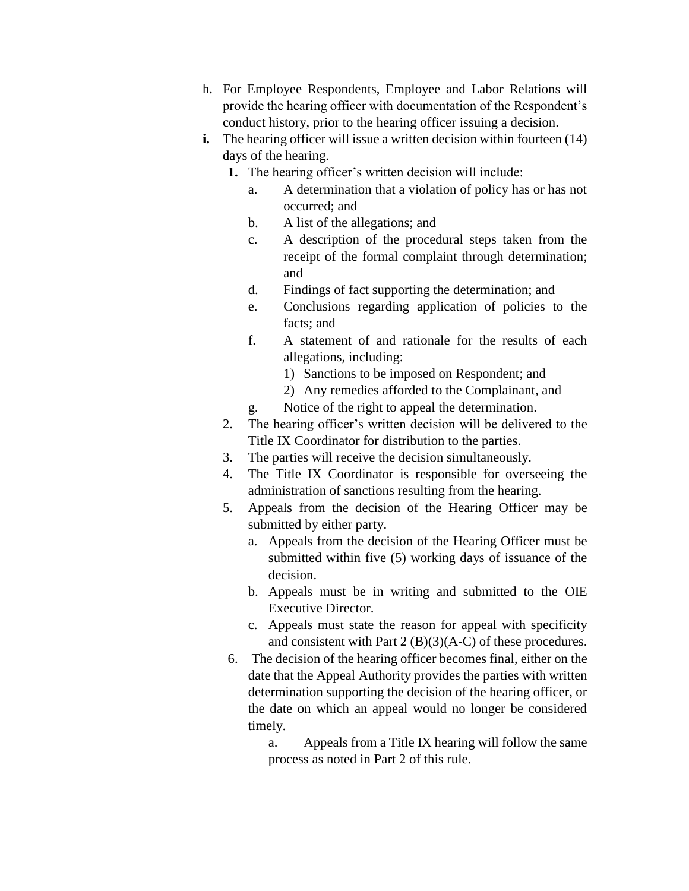- h. For Employee Respondents, Employee and Labor Relations will provide the hearing officer with documentation of the Respondent's conduct history, prior to the hearing officer issuing a decision.
- **i.** The hearing officer will issue a written decision within fourteen (14) days of the hearing.
	- **1.** The hearing officer's written decision will include:
		- a. A determination that a violation of policy has or has not occurred; and
		- b. A list of the allegations; and
		- c. A description of the procedural steps taken from the receipt of the formal complaint through determination; and
		- d. Findings of fact supporting the determination; and
		- e. Conclusions regarding application of policies to the facts; and
		- f. A statement of and rationale for the results of each allegations, including:
			- 1) Sanctions to be imposed on Respondent; and
			- 2) Any remedies afforded to the Complainant, and
		- g. Notice of the right to appeal the determination.
	- 2. The hearing officer's written decision will be delivered to the Title IX Coordinator for distribution to the parties.
	- 3. The parties will receive the decision simultaneously.
	- 4. The Title IX Coordinator is responsible for overseeing the administration of sanctions resulting from the hearing.
	- 5. Appeals from the decision of the Hearing Officer may be submitted by either party.
		- a. Appeals from the decision of the Hearing Officer must be submitted within five (5) working days of issuance of the decision.
		- b. Appeals must be in writing and submitted to the OIE Executive Director.
		- c. Appeals must state the reason for appeal with specificity and consistent with Part 2 (B)(3)(A-C) of these procedures.
	- 6. The decision of the hearing officer becomes final, either on the date that the Appeal Authority provides the parties with written determination supporting the decision of the hearing officer, or the date on which an appeal would no longer be considered timely.
		- a. Appeals from a Title IX hearing will follow the same process as noted in Part 2 of this rule.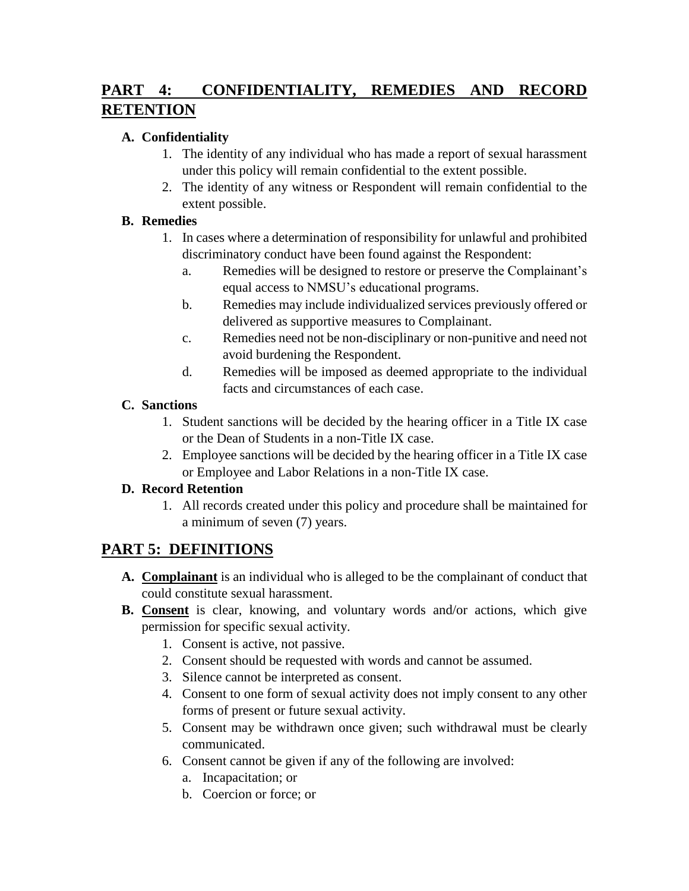# **PART 4: CONFIDENTIALITY, REMEDIES AND RECORD RETENTION**

## **A. Confidentiality**

- 1. The identity of any individual who has made a report of sexual harassment under this policy will remain confidential to the extent possible.
- 2. The identity of any witness or Respondent will remain confidential to the extent possible.

## **B. Remedies**

- 1. In cases where a determination of responsibility for unlawful and prohibited discriminatory conduct have been found against the Respondent:
	- a. Remedies will be designed to restore or preserve the Complainant's equal access to NMSU's educational programs.
	- b. Remedies may include individualized services previously offered or delivered as supportive measures to Complainant.
	- c. Remedies need not be non-disciplinary or non-punitive and need not avoid burdening the Respondent.
	- d. Remedies will be imposed as deemed appropriate to the individual facts and circumstances of each case.

## **C. Sanctions**

- 1. Student sanctions will be decided by the hearing officer in a Title IX case or the Dean of Students in a non-Title IX case.
- 2. Employee sanctions will be decided by the hearing officer in a Title IX case or Employee and Labor Relations in a non-Title IX case.

## **D. Record Retention**

1. All records created under this policy and procedure shall be maintained for a minimum of seven (7) years.

# **PART 5: DEFINITIONS**

- **A. Complainant** is an individual who is alleged to be the complainant of conduct that could constitute sexual harassment.
- **B. Consent** is clear, knowing, and voluntary words and/or actions, which give permission for specific sexual activity.
	- 1. Consent is active, not passive.
	- 2. Consent should be requested with words and cannot be assumed.
	- 3. Silence cannot be interpreted as consent.
	- 4. Consent to one form of sexual activity does not imply consent to any other forms of present or future sexual activity.
	- 5. Consent may be withdrawn once given; such withdrawal must be clearly communicated.
	- 6. Consent cannot be given if any of the following are involved:
		- a. Incapacitation; or
		- b. Coercion or force; or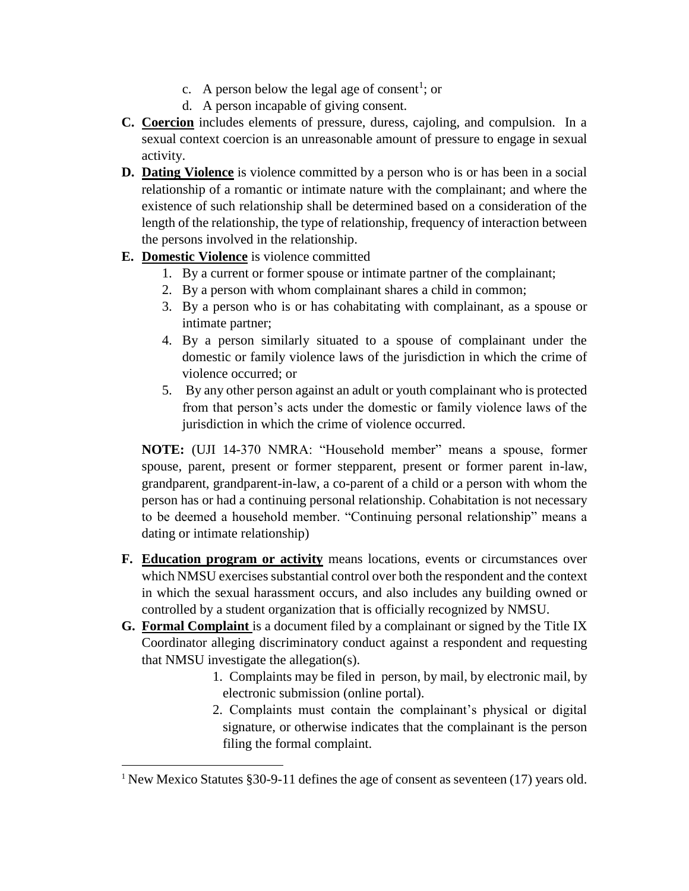- c. A person below the legal age of consent<sup>1</sup>; or
- d. A person incapable of giving consent.
- **C. Coercion** includes elements of pressure, duress, cajoling, and compulsion. In a sexual context coercion is an unreasonable amount of pressure to engage in sexual activity.
- **D. Dating Violence** is violence committed by a person who is or has been in a social relationship of a romantic or intimate nature with the complainant; and where the existence of such relationship shall be determined based on a consideration of the length of the relationship, the type of relationship, frequency of interaction between the persons involved in the relationship.
- **E. Domestic Violence** is violence committed

 $\overline{\phantom{a}}$ 

- 1. By a current or former spouse or intimate partner of the complainant;
- 2. By a person with whom complainant shares a child in common;
- 3. By a person who is or has cohabitating with complainant, as a spouse or intimate partner;
- 4. By a person similarly situated to a spouse of complainant under the domestic or family violence laws of the jurisdiction in which the crime of violence occurred; or
- 5. By any other person against an adult or youth complainant who is protected from that person's acts under the domestic or family violence laws of the jurisdiction in which the crime of violence occurred.

**NOTE:** (UJI 14-370 NMRA: "Household member" means a spouse, former spouse, parent, present or former stepparent, present or former parent in-law, grandparent, grandparent-in-law, a co-parent of a child or a person with whom the person has or had a continuing personal relationship. Cohabitation is not necessary to be deemed a household member. "Continuing personal relationship" means a dating or intimate relationship)

- **F. Education program or activity** means locations, events or circumstances over which NMSU exercises substantial control over both the respondent and the context in which the sexual harassment occurs, and also includes any building owned or controlled by a student organization that is officially recognized by NMSU.
- **G. Formal Complaint** is a document filed by a complainant or signed by the Title IX Coordinator alleging discriminatory conduct against a respondent and requesting that NMSU investigate the allegation(s).
	- 1. Complaints may be filed in person, by mail, by electronic mail, by electronic submission (online portal).
	- 2. Complaints must contain the complainant's physical or digital signature, or otherwise indicates that the complainant is the person filing the formal complaint.

<sup>&</sup>lt;sup>1</sup> New Mexico Statutes §30-9-11 defines the age of consent as seventeen (17) years old.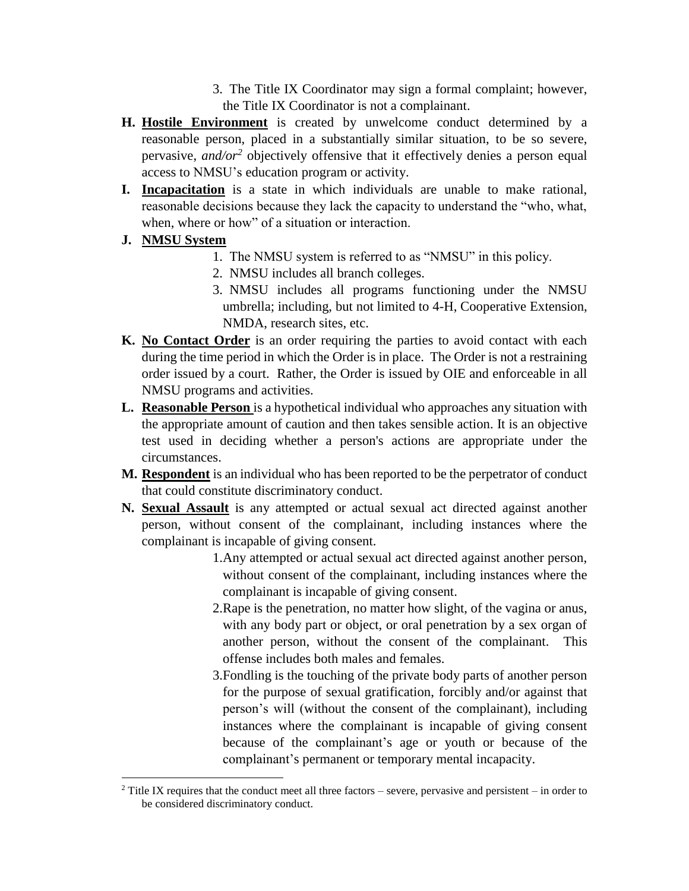- 3. The Title IX Coordinator may sign a formal complaint; however, the Title IX Coordinator is not a complainant.
- **H. Hostile Environment** is created by unwelcome conduct determined by a reasonable person, placed in a substantially similar situation, to be so severe, pervasive, *and/or<sup>2</sup>* objectively offensive that it effectively denies a person equal access to NMSU's education program or activity.
- **I. Incapacitation** is a state in which individuals are unable to make rational, reasonable decisions because they lack the capacity to understand the "who, what, when, where or how" of a situation or interaction.
- **J. NMSU System**
	- 1. The NMSU system is referred to as "NMSU" in this policy.
	- 2. NMSU includes all branch colleges.
	- 3. NMSU includes all programs functioning under the NMSU umbrella; including, but not limited to 4-H, Cooperative Extension, NMDA, research sites, etc.
- **K. No Contact Order** is an order requiring the parties to avoid contact with each during the time period in which the Order is in place. The Order is not a restraining order issued by a court. Rather, the Order is issued by OIE and enforceable in all NMSU programs and activities.
- **L. Reasonable Person** is a hypothetical individual who approaches any situation with the appropriate amount of caution and then takes sensible action. It is an objective test used in deciding whether a person's actions are appropriate under the circumstances.
- **M. Respondent** is an individual who has been reported to be the perpetrator of conduct that could constitute discriminatory conduct.
- **N. Sexual Assault** is any attempted or actual sexual act directed against another person, without consent of the complainant, including instances where the complainant is incapable of giving consent.
	- 1.Any attempted or actual sexual act directed against another person, without consent of the complainant, including instances where the complainant is incapable of giving consent.
	- 2.Rape is the penetration, no matter how slight, of the vagina or anus, with any body part or object, or oral penetration by a sex organ of another person, without the consent of the complainant. This offense includes both males and females.
	- 3.Fondling is the touching of the private body parts of another person for the purpose of sexual gratification, forcibly and/or against that person's will (without the consent of the complainant), including instances where the complainant is incapable of giving consent because of the complainant's age or youth or because of the complainant's permanent or temporary mental incapacity.

 $\overline{\phantom{a}}$ <sup>2</sup> Title IX requires that the conduct meet all three factors – severe, pervasive and persistent – in order to be considered discriminatory conduct.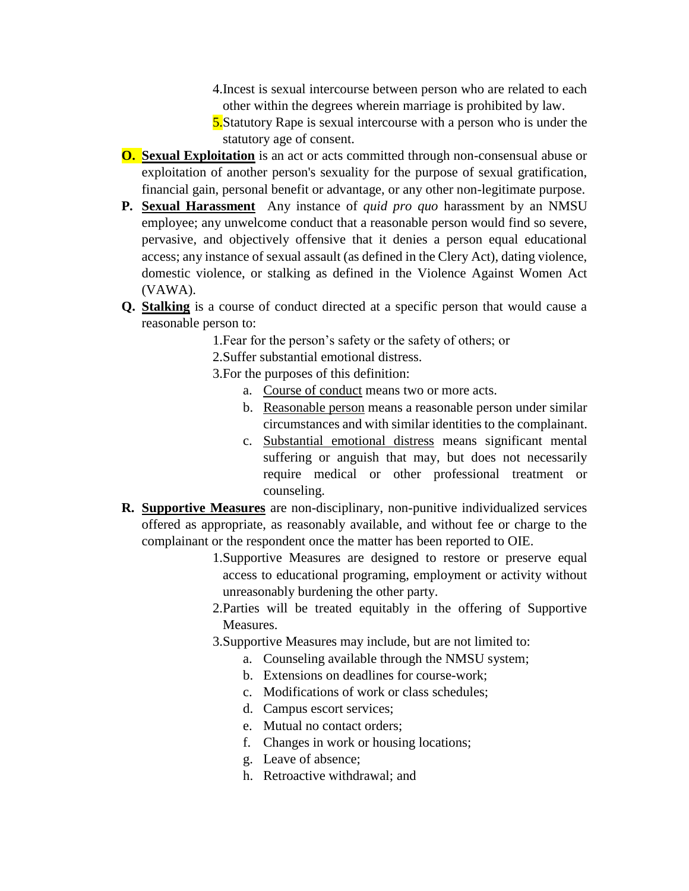- 4.Incest is sexual intercourse between person who are related to each other within the degrees wherein marriage is prohibited by law.
- **5.**Statutory Rape is sexual intercourse with a person who is under the statutory age of consent.
- **O. Sexual Exploitation** is an act or acts committed through non-consensual abuse or exploitation of another person's sexuality for the purpose of sexual gratification, financial gain, personal benefit or advantage, or any other non-legitimate purpose.
- **P. Sexual Harassment** Any instance of *quid pro quo* harassment by an NMSU employee; any unwelcome conduct that a reasonable person would find so severe, pervasive, and objectively offensive that it denies a person equal educational access; any instance of sexual assault (as defined in the Clery Act), dating violence, domestic violence, or stalking as defined in the Violence Against Women Act (VAWA).
- **Q. Stalking** is a course of conduct directed at a specific person that would cause a reasonable person to:
	- 1.Fear for the person's safety or the safety of others; or
	- 2.Suffer substantial emotional distress.
	- 3.For the purposes of this definition:
		- a. Course of conduct means two or more acts.
		- b. Reasonable person means a reasonable person under similar circumstances and with similar identities to the complainant.
		- c. Substantial emotional distress means significant mental suffering or anguish that may, but does not necessarily require medical or other professional treatment or counseling.
- **R. Supportive Measures** are non-disciplinary, non-punitive individualized services offered as appropriate, as reasonably available, and without fee or charge to the complainant or the respondent once the matter has been reported to OIE.
	- 1.Supportive Measures are designed to restore or preserve equal access to educational programing, employment or activity without unreasonably burdening the other party.
	- 2.Parties will be treated equitably in the offering of Supportive Measures.
	- 3.Supportive Measures may include, but are not limited to:
		- a. Counseling available through the NMSU system;
		- b. Extensions on deadlines for course-work;
		- c. Modifications of work or class schedules;
		- d. Campus escort services;
		- e. Mutual no contact orders;
		- f. Changes in work or housing locations;
		- g. Leave of absence;
		- h. Retroactive withdrawal; and